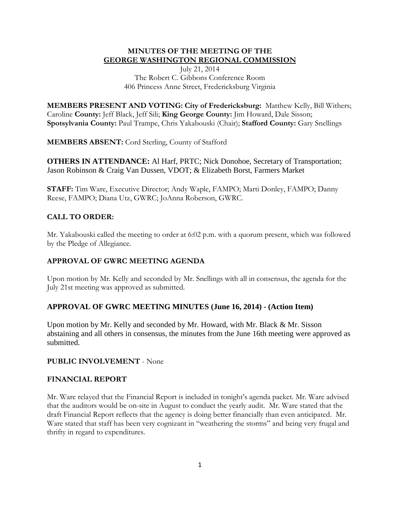## **MINUTES OF THE MEETING OF THE GEORGE WASHINGTON REGIONAL COMMISSION**

July 21, 2014 The Robert C. Gibbons Conference Room 406 Princess Anne Street, Fredericksburg Virginia

**MEMBERS PRESENT AND VOTING: City of Fredericksburg:** Matthew Kelly, Bill Withers; Caroline **County:** Jeff Black, Jeff Sili; **King George County:** Jim Howard, Dale Sisson; **Spotsylvania County:** Paul Trampe, Chris Yakabouski (Chair); **Stafford County:** Gary Snellings

**MEMBERS ABSENT:** Cord Sterling, County of Stafford

**OTHERS IN ATTENDANCE:** Al Harf, PRTC; Nick Donohoe, Secretary of Transportation; Jason Robinson & Craig Van Dussen, VDOT; & Elizabeth Borst, Farmers Market

**STAFF:** Tim Ware, Executive Director; Andy Waple, FAMPO; Marti Donley, FAMPO; Danny Reese, FAMPO; Diana Utz, GWRC; JoAnna Roberson, GWRC.

# **CALL TO ORDER:**

Mr. Yakabouski called the meeting to order at 6:02 p.m. with a quorum present, which was followed by the Pledge of Allegiance.

## **APPROVAL OF GWRC MEETING AGENDA**

Upon motion by Mr. Kelly and seconded by Mr. Snellings with all in consensus, the agenda for the July 21st meeting was approved as submitted.

## **APPROVAL OF GWRC MEETING MINUTES (June 16, 2014) - (Action Item)**

Upon motion by Mr. Kelly and seconded by Mr. Howard, with Mr. Black & Mr. Sisson abstaining and all others in consensus, the minutes from the June 16th meeting were approved as submitted.

### **PUBLIC INVOLVEMENT** - None

### **FINANCIAL REPORT**

Mr. Ware relayed that the Financial Report is included in tonight's agenda packet. Mr. Ware advised that the auditors would be on-site in August to conduct the yearly audit. Mr. Ware stated that the draft Financial Report reflects that the agency is doing better financially than even anticipated. Mr. Ware stated that staff has been very cognizant in "weathering the storms" and being very frugal and thrifty in regard to expenditures.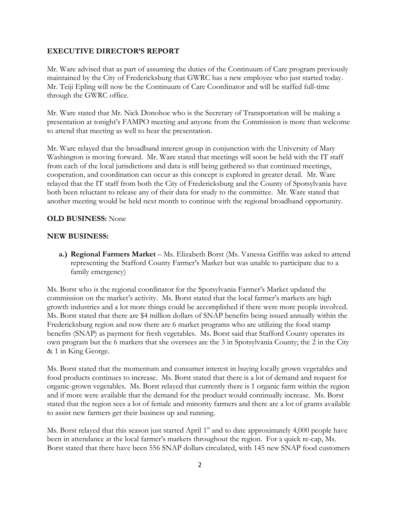#### **EXECUTIVE DIRECTOR'S REPORT**

Mr. Ware advised that as part of assuming the duties of the Continuum of Care program previously maintained by the City of Fredericksburg that GWRC has a new employee who just started today. Mr. Teiji Epling will now be the Continuum of Care Coordinator and will be staffed full-time through the GWRC office.

Mr. Ware stated that Mr. Nick Donohoe who is the Secretary of Transportation will be making a presentation at tonight's FAMPO meeting and anyone from the Commission is more than welcome to attend that meeting as well to hear the presentation.

Mr. Ware relayed that the broadband interest group in conjunction with the University of Mary Washington is moving forward. Mr. Ware stated that meetings will soon be held with the IT staff from each of the local jurisdictions and data is still being gathered so that continued meetings, cooperation, and coordination can occur as this concept is explored in greater detail. Mr. Ware relayed that the IT staff from both the City of Fredericksburg and the County of Spotsylvania have both been reluctant to release any of their data for study to the committee. Mr. Ware stated that another meeting would be held next month to continue with the regional broadband opportunity.

#### **OLD BUSINESS:** None

#### **NEW BUSINESS:**

**a.) Regional Farmers Market** – Ms. Elizabeth Borst (Ms. Vanessa Griffin was asked to attend representing the Stafford County Farmer's Market but was unable to participate due to a family emergency)

Ms. Borst who is the regional coordinator for the Spotsylvania Farmer's Market updated the commission on the market's activity. Ms. Borst stated that the local farmer's markets are high growth industries and a lot more things could be accomplished if there were more people involved. Ms. Borst stated that there are \$4 million dollars of SNAP benefits being issued annually within the Fredericksburg region and now there are 6 market programs who are utilizing the food stamp benefits (SNAP) as payment for fresh vegetables. Ms. Borst said that Stafford County operates its own program but the 6 markets that she oversees are the 3 in Spotsylvania County; the 2 in the City & 1 in King George.

Ms. Borst stated that the momentum and consumer interest in buying locally grown vegetables and food products continues to increase. Ms. Borst stated that there is a lot of demand and request for organic-grown vegetables. Ms. Borst relayed that currently there is 1 organic farm within the region and if more were available that the demand for the product would continually increase. Ms. Borst stated that the region sees a lot of female and minority farmers and there are a lot of grants available to assist new farmers get their business up and running.

Ms. Borst relayed that this season just started April 1<sup>st</sup> and to date approximately 4,000 people have been in attendance at the local farmer's markets throughout the region. For a quick re-cap, Ms. Borst stated that there have been 556 SNAP dollars circulated, with 145 new SNAP food customers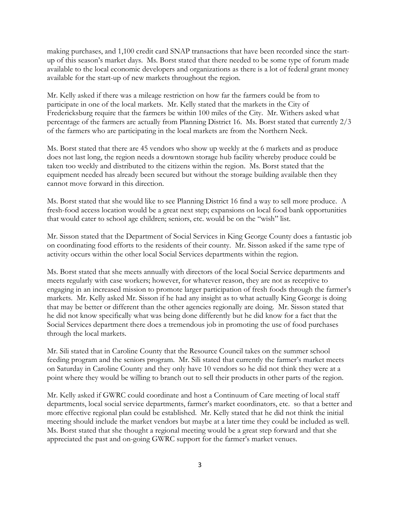making purchases, and 1,100 credit card SNAP transactions that have been recorded since the startup of this season's market days. Ms. Borst stated that there needed to be some type of forum made available to the local economic developers and organizations as there is a lot of federal grant money available for the start-up of new markets throughout the region.

Mr. Kelly asked if there was a mileage restriction on how far the farmers could be from to participate in one of the local markets. Mr. Kelly stated that the markets in the City of Fredericksburg require that the farmers be within 100 miles of the City. Mr. Withers asked what percentage of the farmers are actually from Planning District 16. Ms. Borst stated that currently 2/3 of the farmers who are participating in the local markets are from the Northern Neck.

Ms. Borst stated that there are 45 vendors who show up weekly at the 6 markets and as produce does not last long, the region needs a downtown storage hub facility whereby produce could be taken too weekly and distributed to the citizens within the region. Ms. Borst stated that the equipment needed has already been secured but without the storage building available then they cannot move forward in this direction.

Ms. Borst stated that she would like to see Planning District 16 find a way to sell more produce. A fresh-food access location would be a great next step; expansions on local food bank opportunities that would cater to school age children; seniors, etc. would be on the "wish" list.

Mr. Sisson stated that the Department of Social Services in King George County does a fantastic job on coordinating food efforts to the residents of their county. Mr. Sisson asked if the same type of activity occurs within the other local Social Services departments within the region.

Ms. Borst stated that she meets annually with directors of the local Social Service departments and meets regularly with case workers; however, for whatever reason, they are not as receptive to engaging in an increased mission to promote larger participation of fresh foods through the farmer's markets. Mr. Kelly asked Mr. Sisson if he had any insight as to what actually King George is doing that may be better or different than the other agencies regionally are doing. Mr. Sisson stated that he did not know specifically what was being done differently but he did know for a fact that the Social Services department there does a tremendous job in promoting the use of food purchases through the local markets.

Mr. Sili stated that in Caroline County that the Resource Council takes on the summer school feeding program and the seniors program. Mr. Sili stated that currently the farmer's market meets on Saturday in Caroline County and they only have 10 vendors so he did not think they were at a point where they would be willing to branch out to sell their products in other parts of the region.

Mr. Kelly asked if GWRC could coordinate and host a Continuum of Care meeting of local staff departments, local social service departments, farmer's market coordinators, etc. so that a better and more effective regional plan could be established. Mr. Kelly stated that he did not think the initial meeting should include the market vendors but maybe at a later time they could be included as well. Ms. Borst stated that she thought a regional meeting would be a great step forward and that she appreciated the past and on-going GWRC support for the farmer's market venues.